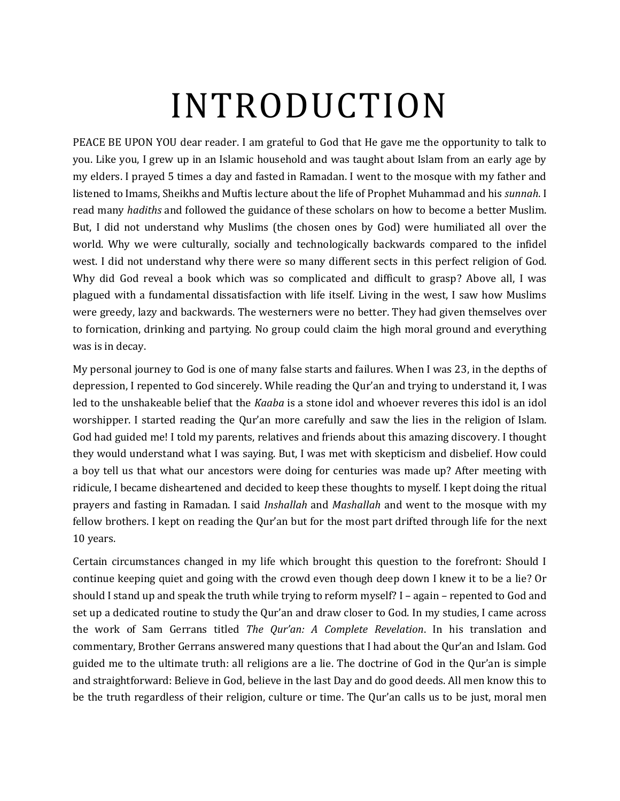# INTRODUCTION

PEACE BE UPON YOU dear reader. I am grateful to God that He gave me the opportunity to talk to you. Like you, I grew up in an Islamic household and was taught about Islam from an early age by my elders. I prayed 5 times a day and fasted in Ramadan. I went to the mosque with my father and listened to Imams, Sheikhs and Muftis lecture about the life of Prophet Muhammad and his *sunnah*. I read many *hadiths* and followed the guidance of these scholars on how to become a better Muslim. But, I did not understand why Muslims (the chosen ones by God) were humiliated all over the world. Why we were culturally, socially and technologically backwards compared to the infidel west. I did not understand why there were so many different sects in this perfect religion of God. Why did God reveal a book which was so complicated and difficult to grasp? Above all, I was plagued with a fundamental dissatisfaction with life itself. Living in the west, I saw how Muslims were greedy, lazy and backwards. The westerners were no better. They had given themselves over to fornication, drinking and partying. No group could claim the high moral ground and everything was is in decay.

My personal journey to God is one of many false starts and failures. When I was 23, in the depths of depression, I repented to God sincerely. While reading the Qur'an and trying to understand it, I was led to the unshakeable belief that the *Kaaba* is a stone idol and whoever reveres this idol is an idol worshipper. I started reading the Qur'an more carefully and saw the lies in the religion of Islam. God had guided me! I told my parents, relatives and friends about this amazing discovery. I thought they would understand what I was saying. But, I was met with skepticism and disbelief. How could a boy tell us that what our ancestors were doing for centuries was made up? After meeting with ridicule, I became disheartened and decided to keep these thoughts to myself. I kept doing the ritual prayers and fasting in Ramadan. I said *Inshallah* and *Mashallah* and went to the mosque with my fellow brothers. I kept on reading the Qur'an but for the most part drifted through life for the next 10 years.

Certain circumstances changed in my life which brought this question to the forefront: Should I continue keeping quiet and going with the crowd even though deep down I knew it to be a lie? Or should I stand up and speak the truth while trying to reform myself? I – again – repented to God and set up a dedicated routine to study the Qur'an and draw closer to God. In my studies, I came across the work of Sam Gerrans titled *The Qur'an: A Complete Revelation*. In his translation and commentary, Brother Gerrans answered many questions that I had about the Qur'an and Islam. God guided me to the ultimate truth: all religions are a lie. The doctrine of God in the Qur'an is simple and straightforward: Believe in God, believe in the last Day and do good deeds. All men know this to be the truth regardless of their religion, culture or time. The Qur'an calls us to be just, moral men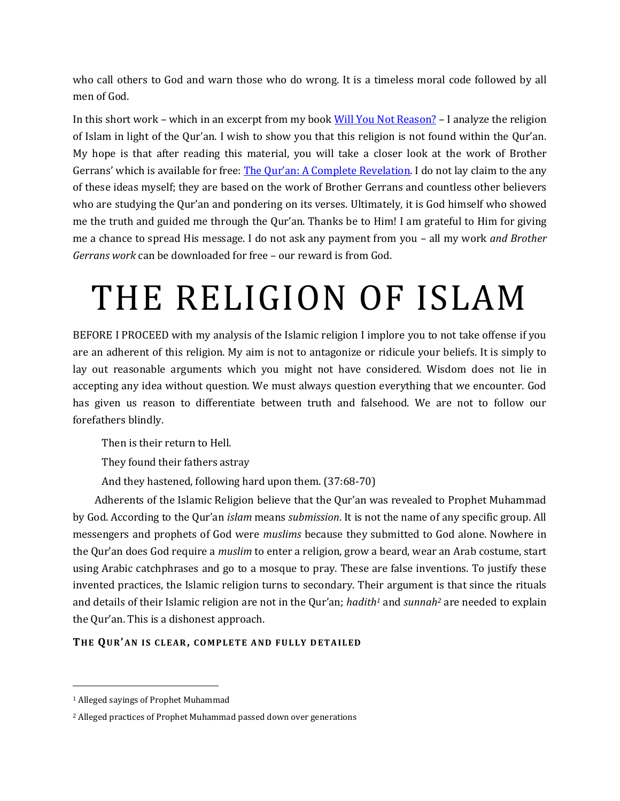who call others to God and warn those who do wrong. It is a timeless moral code followed by all men of God.

In this short work – which in an excerpt from my book [Will You Not Reason?](http://willyounotreason.com/) – I analyze the religion of Islam in light of the Qur'an. I wish to show you that this religion is not found within the Qur'an. My hope is that after reading this material, you will take a closer look at the work of Brother Gerrans' which is available for free: [The Qur'an: A Complete Revelation](https://quranite.com/). I do not lay claim to the any of these ideas myself; they are based on the work of Brother Gerrans and countless other believers who are studying the Qur'an and pondering on its verses. Ultimately, it is God himself who showed me the truth and guided me through the Qur'an. Thanks be to Him! I am grateful to Him for giving me a chance to spread His message. I do not ask any payment from you – all my work *and Brother Gerrans work* can be downloaded for free – our reward is from God.

# THE RELIGION OF ISLAM

BEFORE I PROCEED with my analysis of the Islamic religion I implore you to not take offense if you are an adherent of this religion. My aim is not to antagonize or ridicule your beliefs. It is simply to lay out reasonable arguments which you might not have considered. Wisdom does not lie in accepting any idea without question. We must always question everything that we encounter. God has given us reason to differentiate between truth and falsehood. We are not to follow our forefathers blindly.

Then is their return to Hell.

They found their fathers astray

And they hastened, following hard upon them. (37:68-70)

Adherents of the Islamic Religion believe that the Qur'an was revealed to Prophet Muhammad by God. According to the Qur'an *islam* means *submission*. It is not the name of any specific group. All messengers and prophets of God were *muslims* because they submitted to God alone. Nowhere in the Qur'an does God require a *muslim* to enter a religion, grow a beard, wear an Arab costume, start using Arabic catchphrases and go to a mosque to pray. These are false inventions. To justify these invented practices, the Islamic religion turns to secondary. Their argument is that since the rituals and details of their Islamic religion are not in the Qur'an; *hadith<sup>1</sup>* and *sunnah<sup>2</sup>* are needed to explain the Qur'an. This is a dishonest approach.

### **THE QU R'AN I S CL EAR, CO MP LE TE A ND FU L LY D ETA IL ED**

 $\overline{a}$ 

<sup>1</sup> Alleged sayings of Prophet Muhammad

<sup>2</sup> Alleged practices of Prophet Muhammad passed down over generations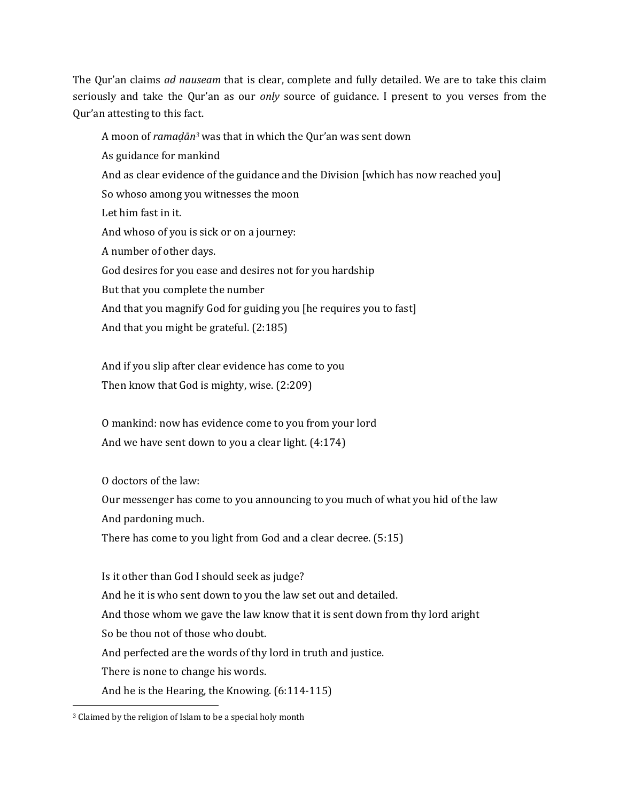The Qur'an claims *ad nauseam* that is clear, complete and fully detailed. We are to take this claim seriously and take the Qur'an as our *only* source of guidance. I present to you verses from the Qur'an attesting to this fact.

A moon of *ramaḍān<sup>3</sup>* was that in which the Qur'an was sent down As guidance for mankind And as clear evidence of the guidance and the Division [which has now reached you] So whoso among you witnesses the moon Let him fast in it. And whoso of you is sick or on a journey: A number of other days. God desires for you ease and desires not for you hardship But that you complete the number And that you magnify God for guiding you [he requires you to fast] And that you might be grateful. (2:185)

And if you slip after clear evidence has come to you Then know that God is mighty, wise. (2:209)

O mankind: now has evidence come to you from your lord And we have sent down to you a clear light. (4:174)

O doctors of the law:

Our messenger has come to you announcing to you much of what you hid of the law And pardoning much.

There has come to you light from God and a clear decree. (5:15)

Is it other than God I should seek as judge? And he it is who sent down to you the law set out and detailed. And those whom we gave the law know that it is sent down from thy lord aright So be thou not of those who doubt. And perfected are the words of thy lord in truth and justice. There is none to change his words. And he is the Hearing, the Knowing. (6:114-115)

 $\overline{\phantom{a}}$ <sup>3</sup> Claimed by the religion of Islam to be a special holy month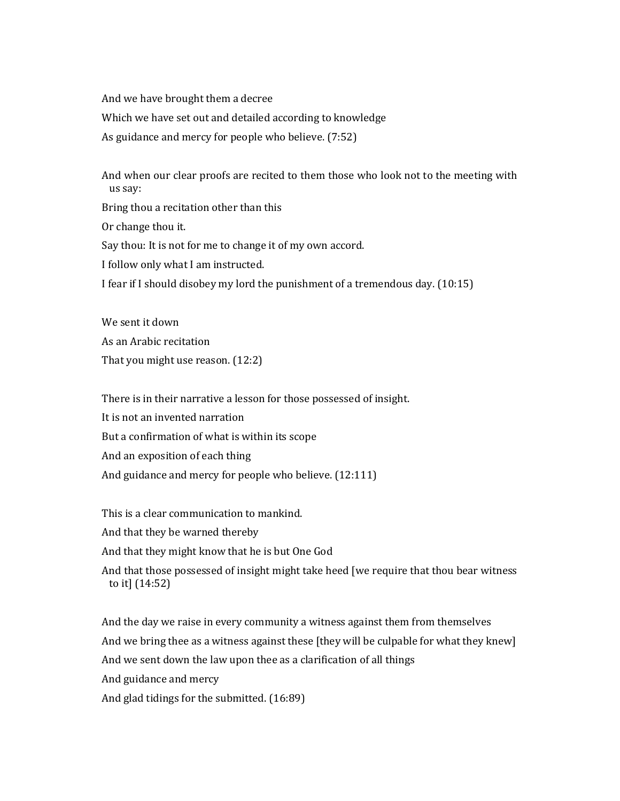And we have brought them a decree Which we have set out and detailed according to knowledge As guidance and mercy for people who believe. (7:52)

And when our clear proofs are recited to them those who look not to the meeting with us say: Bring thou a recitation other than this Or change thou it. Say thou: It is not for me to change it of my own accord. I follow only what I am instructed. I fear if I should disobey my lord the punishment of a tremendous day. (10:15)

We sent it down As an Arabic recitation That you might use reason. (12:2)

There is in their narrative a lesson for those possessed of insight. It is not an invented narration But a confirmation of what is within its scope And an exposition of each thing And guidance and mercy for people who believe. (12:111)

This is a clear communication to mankind. And that they be warned thereby And that they might know that he is but One God And that those possessed of insight might take heed [we require that thou bear witness to it] (14:52)

And the day we raise in every community a witness against them from themselves And we bring thee as a witness against these [they will be culpable for what they knew] And we sent down the law upon thee as a clarification of all things And guidance and mercy And glad tidings for the submitted. (16:89)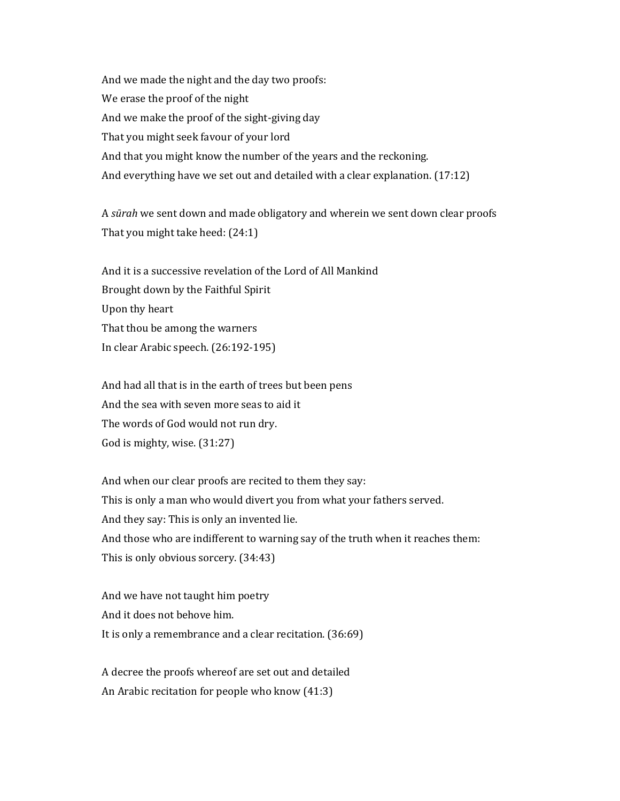And we made the night and the day two proofs: We erase the proof of the night And we make the proof of the sight-giving day That you might seek favour of your lord And that you might know the number of the years and the reckoning. And everything have we set out and detailed with a clear explanation. (17:12)

A *sūrah* we sent down and made obligatory and wherein we sent down clear proofs That you might take heed: (24:1)

And it is a successive revelation of the Lord of All Mankind Brought down by the Faithful Spirit Upon thy heart That thou be among the warners In clear Arabic speech. (26:192-195)

And had all that is in the earth of trees but been pens And the sea with seven more seas to aid it The words of God would not run dry. God is mighty, wise. (31:27)

And when our clear proofs are recited to them they say: This is only a man who would divert you from what your fathers served. And they say: This is only an invented lie. And those who are indifferent to warning say of the truth when it reaches them: This is only obvious sorcery. (34:43)

And we have not taught him poetry And it does not behove him. It is only a remembrance and a clear recitation. (36:69)

A decree the proofs whereof are set out and detailed An Arabic recitation for people who know (41:3)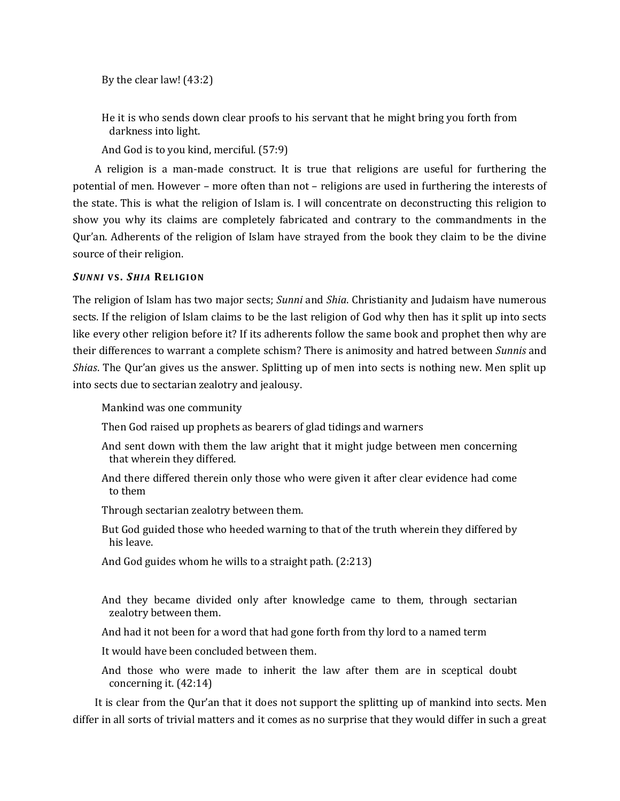By the clear law! (43:2)

He it is who sends down clear proofs to his servant that he might bring you forth from darkness into light.

And God is to you kind, merciful. (57:9)

A religion is a man-made construct. It is true that religions are useful for furthering the potential of men. However – more often than not – religions are used in furthering the interests of the state. This is what the religion of Islam is. I will concentrate on deconstructing this religion to show you why its claims are completely fabricated and contrary to the commandments in the Qur'an. Adherents of the religion of Islam have strayed from the book they claim to be the divine source of their religion.

### *SUN N I* **V S.** *SHI A* **REL I GI ON**

The religion of Islam has two major sects; *Sunni* and *Shia*. Christianity and Judaism have numerous sects. If the religion of Islam claims to be the last religion of God why then has it split up into sects like every other religion before it? If its adherents follow the same book and prophet then why are their differences to warrant a complete schism? There is animosity and hatred between *Sunnis* and *Shias*. The Qur'an gives us the answer. Splitting up of men into sects is nothing new. Men split up into sects due to sectarian zealotry and jealousy.

Mankind was one community

Then God raised up prophets as bearers of glad tidings and warners

And sent down with them the law aright that it might judge between men concerning that wherein they differed.

And there differed therein only those who were given it after clear evidence had come to them

Through sectarian zealotry between them.

But God guided those who heeded warning to that of the truth wherein they differed by his leave.

And God guides whom he wills to a straight path. (2:213)

And they became divided only after knowledge came to them, through sectarian zealotry between them.

And had it not been for a word that had gone forth from thy lord to a named term

It would have been concluded between them.

And those who were made to inherit the law after them are in sceptical doubt concerning it. (42:14)

It is clear from the Qur'an that it does not support the splitting up of mankind into sects. Men differ in all sorts of trivial matters and it comes as no surprise that they would differ in such a great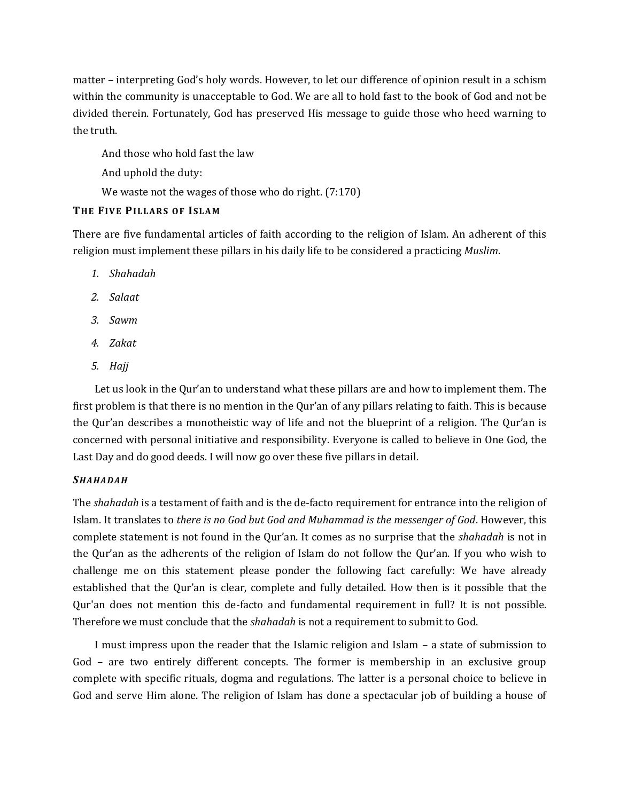matter – interpreting God's holy words. However, to let our difference of opinion result in a schism within the community is unacceptable to God. We are all to hold fast to the book of God and not be divided therein. Fortunately, God has preserved His message to guide those who heed warning to the truth.

And those who hold fast the law

And uphold the duty:

We waste not the wages of those who do right.  $(7:170)$ 

## **THE FIV E PI LLAR S OF ISL A M**

There are five fundamental articles of faith according to the religion of Islam. An adherent of this religion must implement these pillars in his daily life to be considered a practicing *Muslim*.

- *1. Shahadah*
- *2. Salaat*
- *3. Sawm*
- *4. Zakat*
- *5. Hajj*

Let us look in the Qur'an to understand what these pillars are and how to implement them. The first problem is that there is no mention in the Qur'an of any pillars relating to faith. This is because the Qur'an describes a monotheistic way of life and not the blueprint of a religion. The Qur'an is concerned with personal initiative and responsibility. Everyone is called to believe in One God, the Last Day and do good deeds. I will now go over these five pillars in detail.

## *SHAHA DAH*

The *shahadah* is a testament of faith and is the de-facto requirement for entrance into the religion of Islam. It translates to *there is no God but God and Muhammad is the messenger of God*. However, this complete statement is not found in the Qur'an. It comes as no surprise that the *shahadah* is not in the Qur'an as the adherents of the religion of Islam do not follow the Qur'an. If you who wish to challenge me on this statement please ponder the following fact carefully: We have already established that the Qur'an is clear, complete and fully detailed. How then is it possible that the Qur'an does not mention this de-facto and fundamental requirement in full? It is not possible. Therefore we must conclude that the *shahadah* is not a requirement to submit to God.

I must impress upon the reader that the Islamic religion and Islam – a state of submission to God – are two entirely different concepts. The former is membership in an exclusive group complete with specific rituals, dogma and regulations. The latter is a personal choice to believe in God and serve Him alone. The religion of Islam has done a spectacular job of building a house of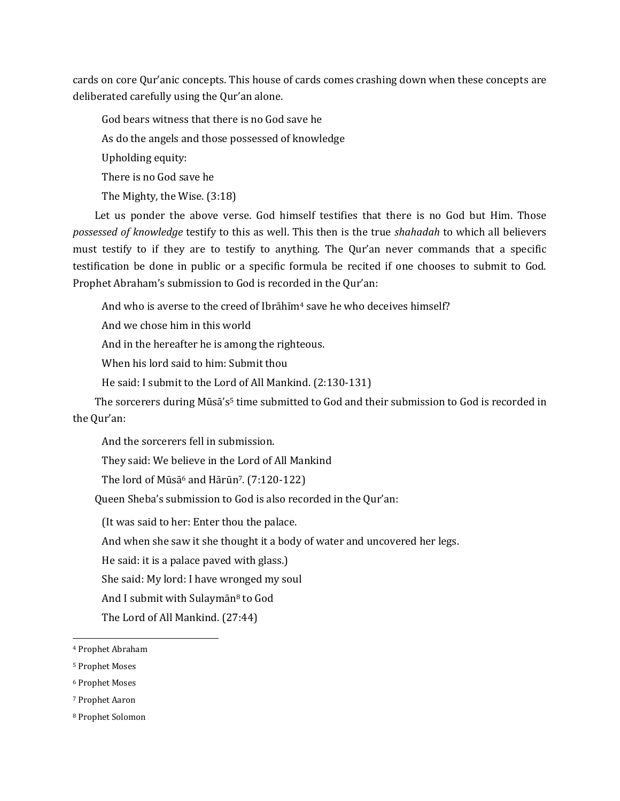cards on core Qur'anic concepts. This house of cards comes crashing down when these concepts are deliberated carefully using the Qur'an alone.

God bears witness that there is no God save he As do the angels and those possessed of knowledge Upholding equity: There is no God save he The Mighty, the Wise. (3:18)

Let us ponder the above verse. God himself testifies that there is no God but Him. Those *possessed of knowledge* testify to this as well. This then is the true *shahadah* to which all believers must testify to if they are to testify to anything. The Qur'an never commands that a specific testification be done in public or a specific formula be recited if one chooses to submit to God. Prophet Abraham's submission to God is recorded in the Qur'an:

And who is averse to the creed of Ibrāhīm<sup>4</sup> save he who deceives himself?

And we chose him in this world

And in the hereafter he is among the righteous.

When his lord said to him: Submit thou

He said: I submit to the Lord of All Mankind. (2:130-131)

The sorcerers during Mūsā's<sup>5</sup> time submitted to God and their submission to God is recorded in the Qur'an:

And the sorcerers fell in submission.

They said: We believe in the Lord of All Mankind

The lord of Mūsā<sup>6</sup> and Hārūn<sup>7</sup>.  $(7:120-122)$ 

Queen Sheba's submission to God is also recorded in the Qur'an:

(It was said to her: Enter thou the palace.

And when she saw it she thought it a body of water and uncovered her legs.

He said: it is a palace paved with glass.)

She said: My lord: I have wronged my soul

And I submit with Sulaymān<sup>8</sup> to God

The Lord of All Mankind. (27:44)

 $\overline{\phantom{a}}$ 

<sup>4</sup> Prophet Abraham

<sup>5</sup> Prophet Moses

<sup>6</sup> Prophet Moses

<sup>7</sup> Prophet Aaron

<sup>8</sup> Prophet Solomon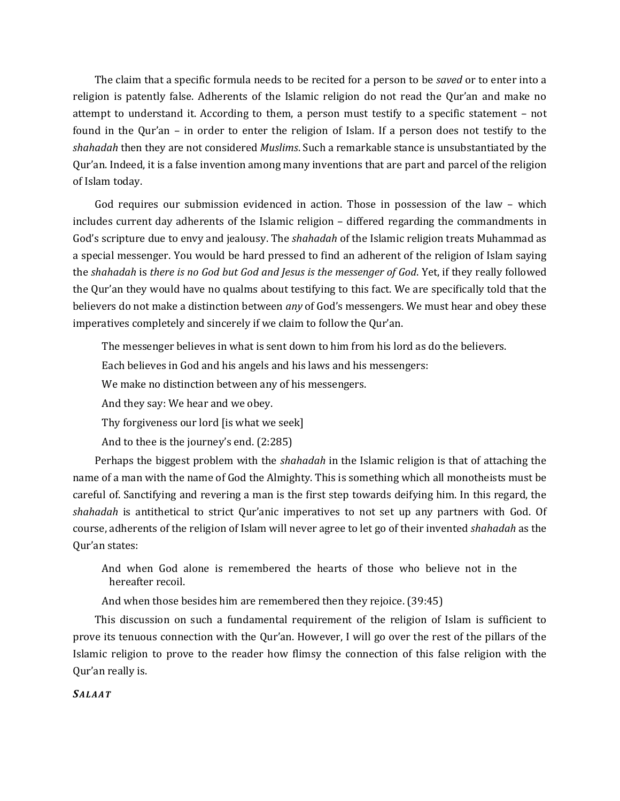The claim that a specific formula needs to be recited for a person to be *saved* or to enter into a religion is patently false. Adherents of the Islamic religion do not read the Qur'an and make no attempt to understand it. According to them, a person must testify to a specific statement – not found in the Qur'an – in order to enter the religion of Islam. If a person does not testify to the *shahadah* then they are not considered *Muslims*. Such a remarkable stance is unsubstantiated by the Qur'an. Indeed, it is a false invention among many inventions that are part and parcel of the religion of Islam today.

God requires our submission evidenced in action. Those in possession of the law – which includes current day adherents of the Islamic religion – differed regarding the commandments in God's scripture due to envy and jealousy. The *shahadah* of the Islamic religion treats Muhammad as a special messenger. You would be hard pressed to find an adherent of the religion of Islam saying the *shahadah* is *there is no God but God and Jesus is the messenger of God*. Yet, if they really followed the Qur'an they would have no qualms about testifying to this fact. We are specifically told that the believers do not make a distinction between *any* of God's messengers. We must hear and obey these imperatives completely and sincerely if we claim to follow the Qur'an.

The messenger believes in what is sent down to him from his lord as do the believers.

Each believes in God and his angels and his laws and his messengers:

We make no distinction between any of his messengers.

And they say: We hear and we obey.

Thy forgiveness our lord [is what we seek]

And to thee is the journey's end. (2:285)

Perhaps the biggest problem with the *shahadah* in the Islamic religion is that of attaching the name of a man with the name of God the Almighty. This is something which all monotheists must be careful of. Sanctifying and revering a man is the first step towards deifying him. In this regard, the *shahadah* is antithetical to strict Qur'anic imperatives to not set up any partners with God. Of course, adherents of the religion of Islam will never agree to let go of their invented *shahadah* as the Qur'an states:

And when God alone is remembered the hearts of those who believe not in the hereafter recoil.

And when those besides him are remembered then they rejoice. (39:45)

This discussion on such a fundamental requirement of the religion of Islam is sufficient to prove its tenuous connection with the Qur'an. However, I will go over the rest of the pillars of the Islamic religion to prove to the reader how flimsy the connection of this false religion with the Qur'an really is.

#### *SALA AT*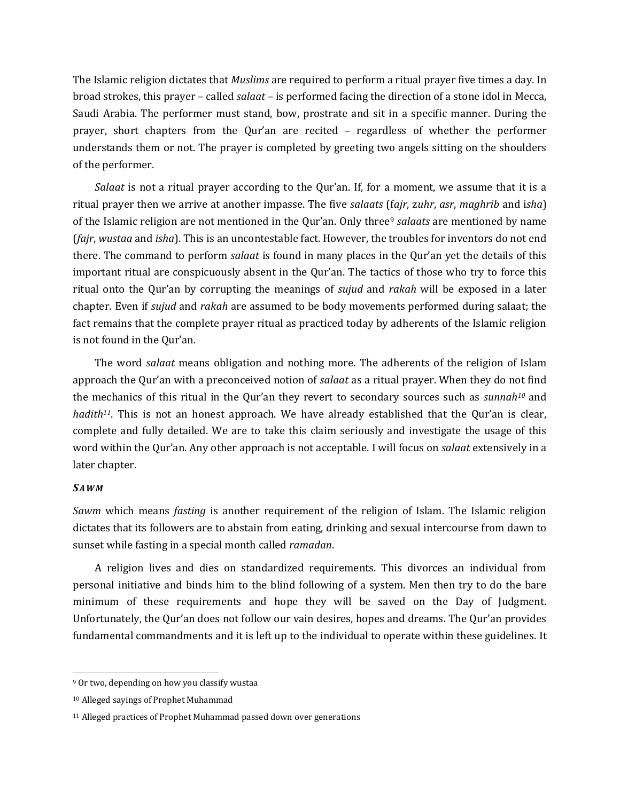The Islamic religion dictates that *Muslims* are required to perform a ritual prayer five times a day. In broad strokes, this prayer – called *salaat –* is performed facing the direction of a stone idol in Mecca, Saudi Arabia. The performer must stand, bow, prostrate and sit in a specific manner. During the prayer, short chapters from the Qur'an are recited – regardless of whether the performer understands them or not. The prayer is completed by greeting two angels sitting on the shoulders of the performer.

*Salaat* is not a ritual prayer according to the Qur'an. If, for a moment, we assume that it is a ritual prayer then we arrive at another impasse. The five *salaats* (f*ajr*, z*uhr*, *asr*, *maghrib* and i*sha*) of the Islamic religion are not mentioned in the Qur'an. Only three<sup>9</sup> *salaats* are mentioned by name (*fajr*, *wustaa* and *isha*). This is an uncontestable fact. However, the troubles for inventors do not end there. The command to perform *salaat* is found in many places in the Qur'an yet the details of this important ritual are conspicuously absent in the Qur'an. The tactics of those who try to force this ritual onto the Qur'an by corrupting the meanings of *sujud* and *rakah* will be exposed in a later chapter. Even if *sujud* and *rakah* are assumed to be body movements performed during salaat; the fact remains that the complete prayer ritual as practiced today by adherents of the Islamic religion is not found in the Qur'an.

The word *salaat* means obligation and nothing more. The adherents of the religion of Islam approach the Qur'an with a preconceived notion of *salaat* as a ritual prayer. When they do not find the mechanics of this ritual in the Qur'an they revert to secondary sources such as *sunnah<sup>10</sup>* and *hadith*<sup>11</sup>. This is not an honest approach. We have already established that the Qur'an is clear, complete and fully detailed. We are to take this claim seriously and investigate the usage of this word within the Qur'an. Any other approach is not acceptable. I will focus on *salaat* extensively in a later chapter.

#### *SAWM*

 $\overline{\phantom{a}}$ 

*Sawm* which means *fasting* is another requirement of the religion of Islam. The Islamic religion dictates that its followers are to abstain from eating, drinking and sexual intercourse from dawn to sunset while fasting in a special month called *ramadan*.

A religion lives and dies on standardized requirements. This divorces an individual from personal initiative and binds him to the blind following of a system. Men then try to do the bare minimum of these requirements and hope they will be saved on the Day of Judgment. Unfortunately, the Qur'an does not follow our vain desires, hopes and dreams. The Qur'an provides fundamental commandments and it is left up to the individual to operate within these guidelines. It

<sup>9</sup> Or two, depending on how you classify wustaa

<sup>10</sup> Alleged sayings of Prophet Muhammad

<sup>&</sup>lt;sup>11</sup> Alleged practices of Prophet Muhammad passed down over generations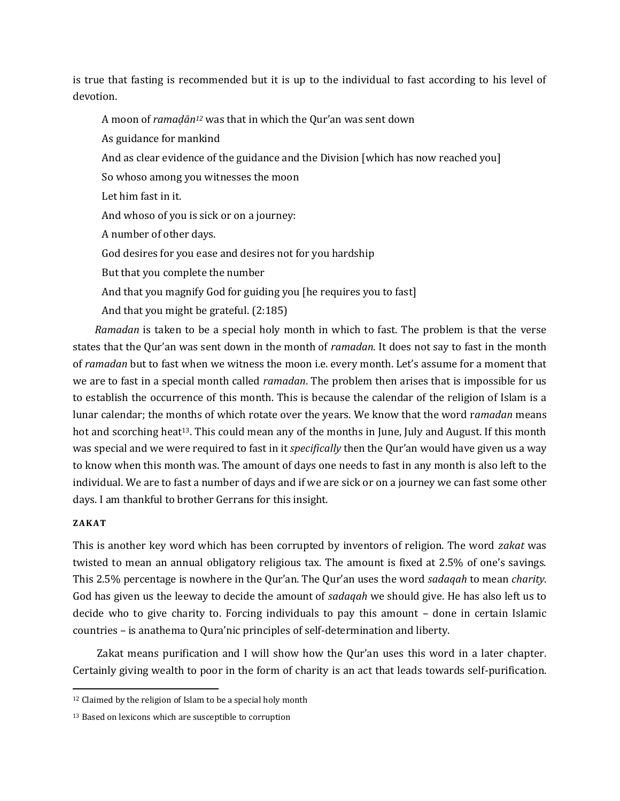is true that fasting is recommended but it is up to the individual to fast according to his level of devotion.

A moon of *ramaḍān<sup>12</sup>* was that in which the Qur'an was sent down

As guidance for mankind

And as clear evidence of the guidance and the Division [which has now reached you]

So whoso among you witnesses the moon

Let him fast in it.

And whoso of you is sick or on a journey:

A number of other days.

God desires for you ease and desires not for you hardship

But that you complete the number

And that you magnify God for guiding you [he requires you to fast]

And that you might be grateful. (2:185)

*Ramadan* is taken to be a special holy month in which to fast. The problem is that the verse states that the Qur'an was sent down in the month of *ramadan*. It does not say to fast in the month of *ramadan* but to fast when we witness the moon i.e. every month. Let's assume for a moment that we are to fast in a special month called *ramadan*. The problem then arises that is impossible for us to establish the occurrence of this month. This is because the calendar of the religion of Islam is a lunar calendar; the months of which rotate over the years. We know that the word r*amadan* means hot and scorching heat<sup>13</sup>. This could mean any of the months in June, July and August. If this month was special and we were required to fast in it *specifically* then the Qur'an would have given us a way to know when this month was. The amount of days one needs to fast in any month is also left to the individual. We are to fast a number of days and if we are sick or on a journey we can fast some other days. I am thankful to brother Gerrans for this insight.

#### **ZA KAT**

 $\overline{a}$ 

This is another key word which has been corrupted by inventors of religion. The word *zakat* was twisted to mean an annual obligatory religious tax. The amount is fixed at 2.5% of one's savings. This 2.5% percentage is nowhere in the Qur'an. The Qur'an uses the word *sadaqah* to mean *charity*. God has given us the leeway to decide the amount of *sadaqah* we should give. He has also left us to decide who to give charity to. Forcing individuals to pay this amount – done in certain Islamic countries – is anathema to Qura'nic principles of self-determination and liberty.

Zakat means purification and I will show how the Qur'an uses this word in a later chapter. Certainly giving wealth to poor in the form of charity is an act that leads towards self-purification.

<sup>&</sup>lt;sup>12</sup> Claimed by the religion of Islam to be a special holy month

<sup>13</sup> Based on lexicons which are susceptible to corruption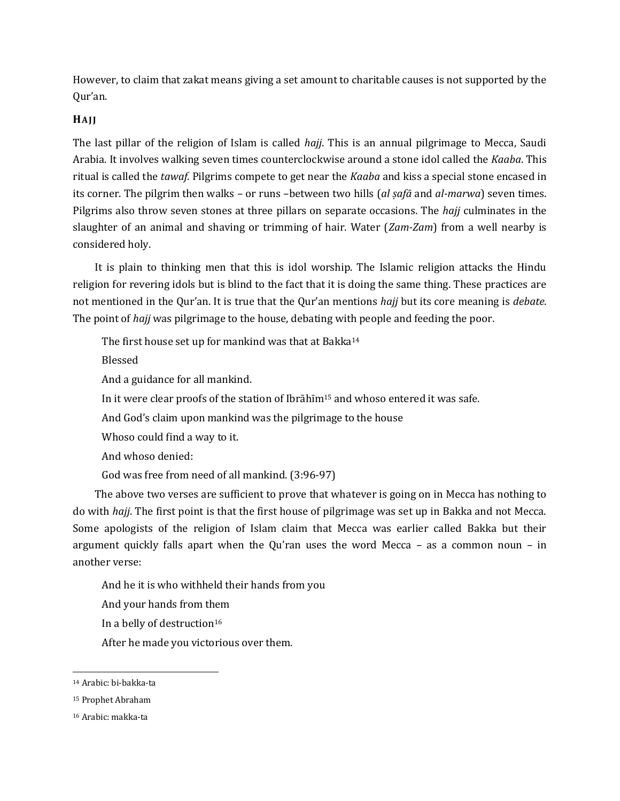However, to claim that zakat means giving a set amount to charitable causes is not supported by the Qur'an.

### **HAJ J**

The last pillar of the religion of Islam is called *hajj*. This is an annual pilgrimage to Mecca, Saudi Arabia. It involves walking seven times counterclockwise around a stone idol called the *Kaaba*. This ritual is called the *tawaf*. Pilgrims compete to get near the *Kaaba* and kiss a special stone encased in its corner. The pilgrim then walks – or runs –between two hills (*al ṣafā* and *al-marwa*) seven times. Pilgrims also throw seven stones at three pillars on separate occasions. The *hajj* culminates in the slaughter of an animal and shaving or trimming of hair. Water (*Zam-Zam*) from a well nearby is considered holy.

It is plain to thinking men that this is idol worship. The Islamic religion attacks the Hindu religion for revering idols but is blind to the fact that it is doing the same thing. These practices are not mentioned in the Qur'an. It is true that the Qur'an mentions *hajj* but its core meaning is *debate*. The point of *hajj* was pilgrimage to the house, debating with people and feeding the poor.

The first house set up for mankind was that at Bakka<sup>14</sup>

Blessed

And a guidance for all mankind.

In it were clear proofs of the station of Ibrāhīm<sup>15</sup> and whoso entered it was safe.

And God's claim upon mankind was the pilgrimage to the house

Whoso could find a way to it.

And whoso denied:

God was free from need of all mankind. (3:96-97)

The above two verses are sufficient to prove that whatever is going on in Mecca has nothing to do with *hajj*. The first point is that the first house of pilgrimage was set up in Bakka and not Mecca. Some apologists of the religion of Islam claim that Mecca was earlier called Bakka but their argument quickly falls apart when the Qu'ran uses the word Mecca – as a common noun – in another verse:

And he it is who withheld their hands from you

And your hands from them

In a belly of destruction<sup>16</sup>

After he made you victorious over them.

 $\overline{\phantom{a}}$ 

<sup>14</sup> Arabic: bi-bakka-ta

<sup>15</sup> Prophet Abraham

<sup>16</sup> Arabic: makka-ta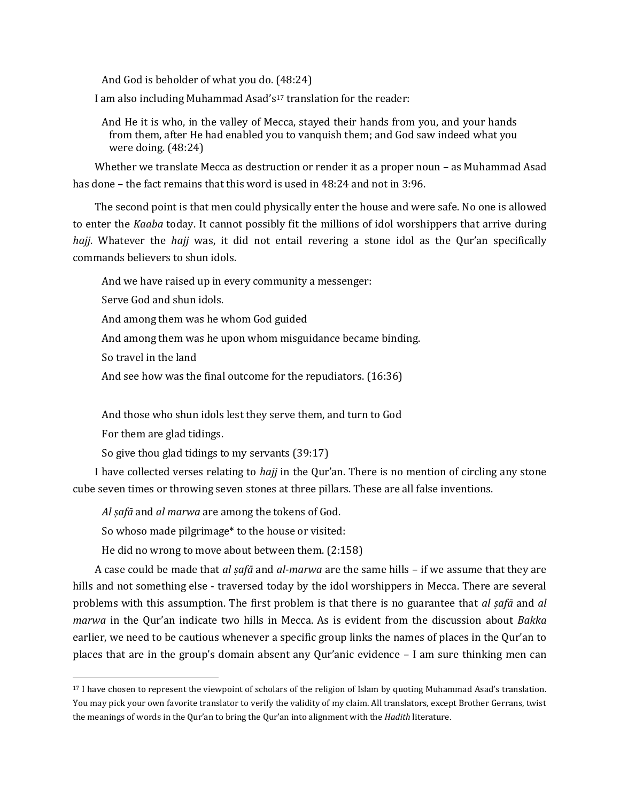And God is beholder of what you do. (48:24)

I am also including Muhammad Asad's<sup>17</sup> translation for the reader:

And He it is who, in the valley of Mecca, stayed their hands from you, and your hands from them, after He had enabled you to vanquish them; and God saw indeed what you were doing. (48:24)

Whether we translate Mecca as destruction or render it as a proper noun – as Muhammad Asad has done – the fact remains that this word is used in 48:24 and not in 3:96.

The second point is that men could physically enter the house and were safe. No one is allowed to enter the *Kaaba* today. It cannot possibly fit the millions of idol worshippers that arrive during *hajj*. Whatever the *hajj* was, it did not entail revering a stone idol as the Qur'an specifically commands believers to shun idols.

And we have raised up in every community a messenger:

Serve God and shun idols.

And among them was he whom God guided

And among them was he upon whom misguidance became binding.

So travel in the land

And see how was the final outcome for the repudiators. (16:36)

And those who shun idols lest they serve them, and turn to God

For them are glad tidings.

 $\overline{\phantom{a}}$ 

So give thou glad tidings to my servants (39:17)

I have collected verses relating to *hajj* in the Qur'an. There is no mention of circling any stone cube seven times or throwing seven stones at three pillars. These are all false inventions.

*Al ṣafā* and *al marwa* are among the tokens of God.

So whoso made pilgrimage\* to the house or visited:

He did no wrong to move about between them. (2:158)

A case could be made that *al ṣafā* and *al-marwa* are the same hills – if we assume that they are hills and not something else - traversed today by the idol worshippers in Mecca. There are several problems with this assumption. The first problem is that there is no guarantee that *al ṣafā* and *al marwa* in the Qur'an indicate two hills in Mecca. As is evident from the discussion about *Bakka* earlier, we need to be cautious whenever a specific group links the names of places in the Qur'an to places that are in the group's domain absent any Qur'anic evidence – I am sure thinking men can

<sup>17</sup> I have chosen to represent the viewpoint of scholars of the religion of Islam by quoting Muhammad Asad's translation. You may pick your own favorite translator to verify the validity of my claim. All translators, except Brother Gerrans, twist the meanings of words in the Qur'an to bring the Qur'an into alignment with the *Hadith* literature.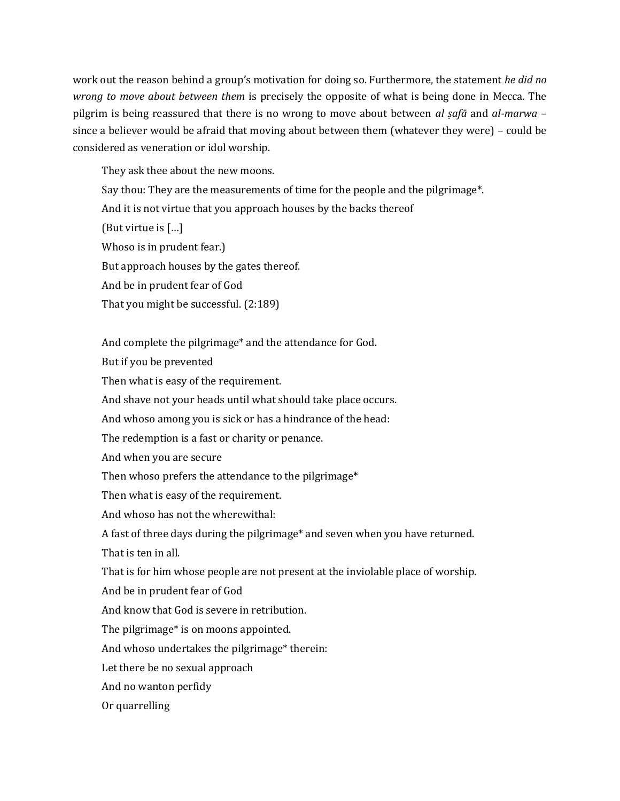work out the reason behind a group's motivation for doing so. Furthermore, the statement *he did no wrong to move about between them* is precisely the opposite of what is being done in Mecca. The pilgrim is being reassured that there is no wrong to move about between *al ṣafā* and *al-marwa* – since a believer would be afraid that moving about between them (whatever they were) – could be considered as veneration or idol worship.

They ask thee about the new moons.

Say thou: They are the measurements of time for the people and the pilgrimage\*. And it is not virtue that you approach houses by the backs thereof (But virtue is […] Whoso is in prudent fear.) But approach houses by the gates thereof. And be in prudent fear of God That you might be successful. (2:189)

And complete the pilgrimage\* and the attendance for God. But if you be prevented Then what is easy of the requirement. And shave not your heads until what should take place occurs. And whoso among you is sick or has a hindrance of the head: The redemption is a fast or charity or penance. And when you are secure Then whoso prefers the attendance to the pilgrimage\* Then what is easy of the requirement. And whoso has not the wherewithal: A fast of three days during the pilgrimage\* and seven when you have returned. That is ten in all. That is for him whose people are not present at the inviolable place of worship. And be in prudent fear of God And know that God is severe in retribution. The pilgrimage\* is on moons appointed. And whoso undertakes the pilgrimage\* therein: Let there be no sexual approach And no wanton perfidy Or quarrelling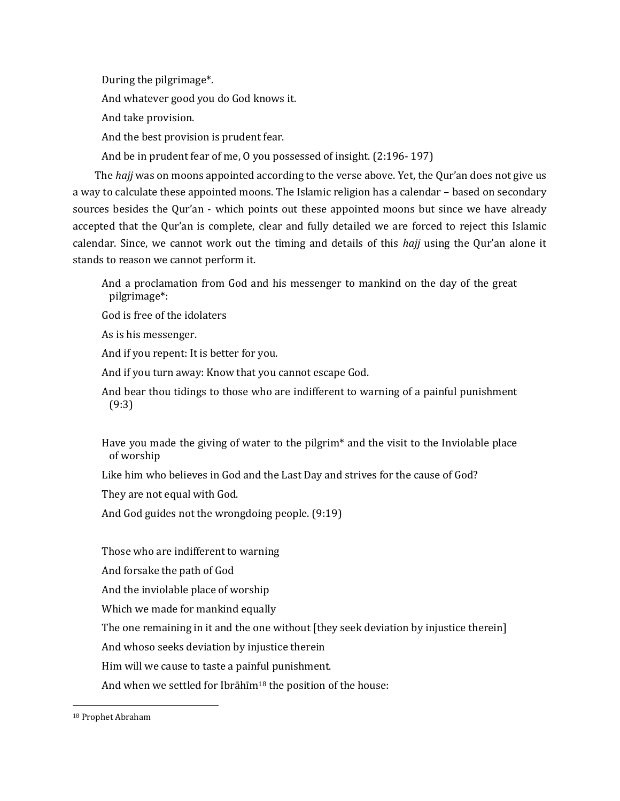During the pilgrimage\*.

And whatever good you do God knows it.

And take provision.

And the best provision is prudent fear.

And be in prudent fear of me, O you possessed of insight. (2:196- 197)

The *hajj* was on moons appointed according to the verse above. Yet, the Qur'an does not give us a way to calculate these appointed moons. The Islamic religion has a calendar – based on secondary sources besides the Qur'an - which points out these appointed moons but since we have already accepted that the Qur'an is complete, clear and fully detailed we are forced to reject this Islamic calendar. Since, we cannot work out the timing and details of this *hajj* using the Qur'an alone it stands to reason we cannot perform it.

And a proclamation from God and his messenger to mankind on the day of the great pilgrimage\*:

God is free of the idolaters

As is his messenger.

And if you repent: It is better for you.

And if you turn away: Know that you cannot escape God.

And bear thou tidings to those who are indifferent to warning of a painful punishment (9:3)

Have you made the giving of water to the pilgrim\* and the visit to the Inviolable place of worship

Like him who believes in God and the Last Day and strives for the cause of God?

They are not equal with God.

And God guides not the wrongdoing people. (9:19)

Those who are indifferent to warning

And forsake the path of God

And the inviolable place of worship

Which we made for mankind equally

The one remaining in it and the one without [they seek deviation by injustice therein]

And whoso seeks deviation by injustice therein

Him will we cause to taste a painful punishment.

And when we settled for Ibrāhīm<sup>18</sup> the position of the house:

 $\overline{\phantom{a}}$ 

<sup>18</sup> Prophet Abraham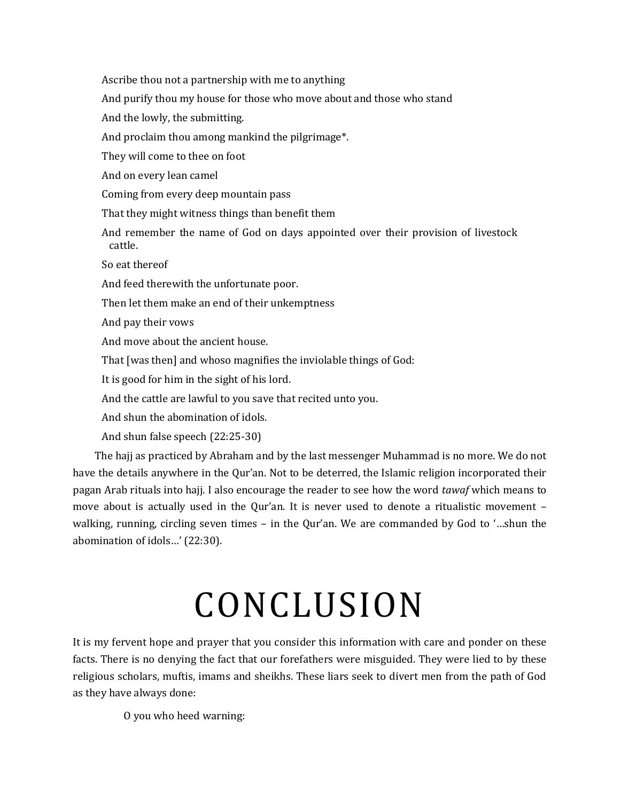Ascribe thou not a partnership with me to anything And purify thou my house for those who move about and those who stand And the lowly, the submitting. And proclaim thou among mankind the pilgrimage\*. They will come to thee on foot And on every lean camel Coming from every deep mountain pass That they might witness things than benefit them And remember the name of God on days appointed over their provision of livestock cattle. So eat thereof And feed therewith the unfortunate poor. Then let them make an end of their unkemptness And pay their vows And move about the ancient house. That [was then] and whoso magnifies the inviolable things of God: It is good for him in the sight of his lord. And the cattle are lawful to you save that recited unto you. And shun the abomination of idols. And shun false speech (22:25-30) The hajj as practiced by Abraham and by the last messenger Muhammad is no more. We do not

have the details anywhere in the Qur'an. Not to be deterred, the Islamic religion incorporated their pagan Arab rituals into hajj. I also encourage the reader to see how the word *tawaf* which means to move about is actually used in the Qur'an. It is never used to denote a ritualistic movement – walking, running, circling seven times – in the Qur'an. We are commanded by God to '…shun the abomination of idols…' (22:30).

# CONCLUSION

It is my fervent hope and prayer that you consider this information with care and ponder on these facts. There is no denying the fact that our forefathers were misguided. They were lied to by these religious scholars, muftis, imams and sheikhs. These liars seek to divert men from the path of God as they have always done:

O you who heed warning: